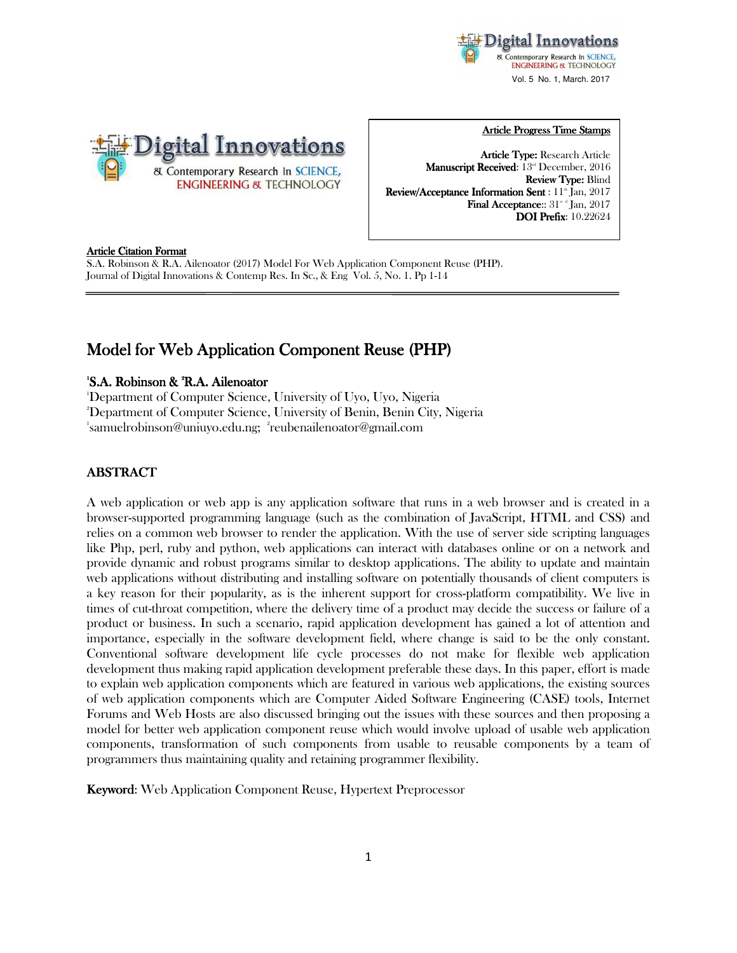



#### Article Progress Time Stamps

Article Type: Research Article Manuscript Received:  $13<sup>nd</sup>$  December, 2016 Review Type: Blind Review/Acceptance Information Sent : 11<sup>th</sup> Jan, 2017 Final Acceptance::  $31^{4}$  Jan,  $2017$ **DOI Prefix: 10.22624** 

#### **Article Citation Format**

S.A. Robinson & R.A. Ailenoator (2017) Model For Web Application Component Reuse (PHP). Journal of Digital Innovations & Contemp Res. In Sc., & Eng Vol. 5, No. 1. Pp 1-14

# Model for Web Application Component Reuse (PHP)

#### $1$ S.A. Robinson &  $2$ R.A. Ailenoator

<sup>1</sup>Department of Computer Science, University of Uyo, Uyo, Nigeria <sup>2</sup>Department of Computer Science, University of Benin, Benin City, Nigeria 1 samuelrobinson@uniuyo.edu.ng; <sup>2</sup> reubenailenoator@gmail.com

#### **ABSTRACT**

A web application or web app is any application software that runs in a web browser and is created in a browser-supported programming language (such as the combination of JavaScript, HTML and CSS) and relies on a common web browser to render the application. With the use of server side scripting languages like Php, perl, ruby and python, web applications can interact with databases online or on a network and provide dynamic and robust programs similar to desktop applications. The ability to update and maintain web applications without distributing and installing software on potentially thousands of client computers is a key reason for their popularity, as is the inherent support for cross-platform compatibility. We live in times of cut-throat competition, where the delivery time of a product may decide the success or failure of a product or business. In such a scenario, rapid application development has gained a lot of attention and importance, especially in the software development field, where change is said to be the only constant. Conventional software development life cycle processes do not make for flexible web application development thus making rapid application development preferable these days. In this paper, effort is made to explain web application components which are featured in various web applications, the existing sources of web application components which are Computer Aided Software Engineering (CASE) tools, Internet Forums and Web Hosts are also discussed bringing out the issues with these sources and then proposing a model for better web application component reuse which would involve upload of usable web application components, transformation of such components from usable to reusable components by a team of programmers thus maintaining quality and retaining programmer flexibility.

**Keyword:** Web Application Component Reuse, Hypertext Preprocessor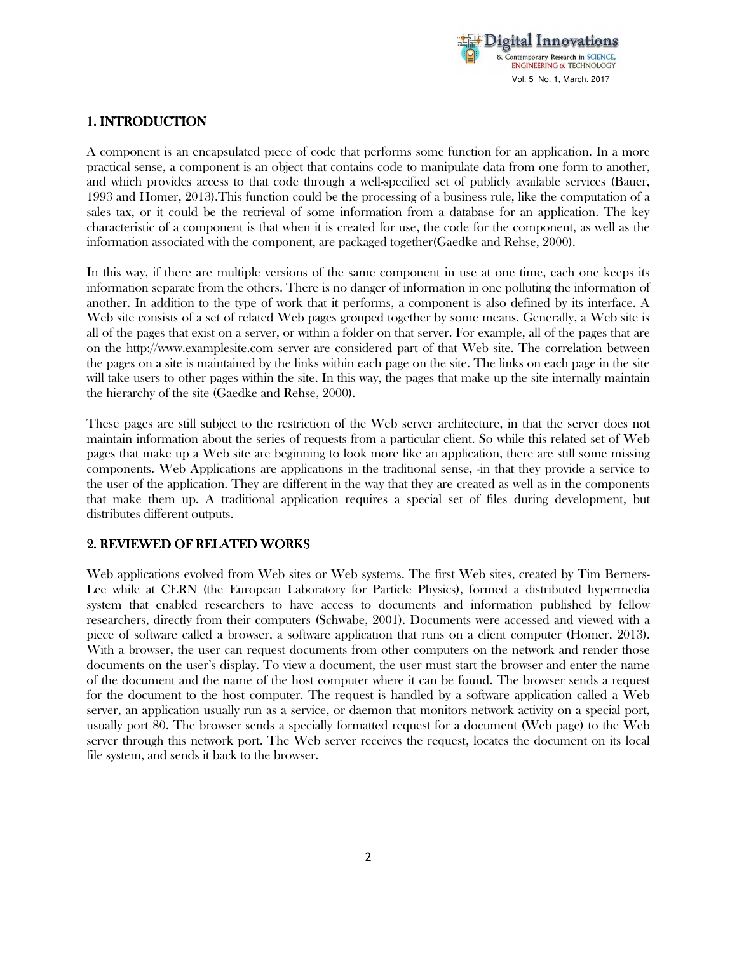

# 1. INTRODUCTION

A component is an encapsulated piece of code that performs some function for an application. In a more practical sense, a component is an object that contains code to manipulate data from one form to another, and which provides access to that code through a well-specified set of publicly available services (Bauer, 1993 and Homer, 2013).This function could be the processing of a business rule, like the computation of a sales tax, or it could be the retrieval of some information from a database for an application. The key characteristic of a component is that when it is created for use, the code for the component, as well as the information associated with the component, are packaged together(Gaedke and Rehse, 2000).

In this way, if there are multiple versions of the same component in use at one time, each one keeps its information separate from the others. There is no danger of information in one polluting the information of another. In addition to the type of work that it performs, a component is also defined by its interface. A Web site consists of a set of related Web pages grouped together by some means. Generally, a Web site is all of the pages that exist on a server, or within a folder on that server. For example, all of the pages that are on the http://www.examplesite.com server are considered part of that Web site. The correlation between the pages on a site is maintained by the links within each page on the site. The links on each page in the site will take users to other pages within the site. In this way, the pages that make up the site internally maintain the hierarchy of the site (Gaedke and Rehse, 2000).

These pages are still subject to the restriction of the Web server architecture, in that the server does not maintain information about the series of requests from a particular client. So while this related set of Web pages that make up a Web site are beginning to look more like an application, there are still some missing components. Web Applications are applications in the traditional sense, -in that they provide a service to the user of the application. They are different in the way that they are created as well as in the components that make them up. A traditional application requires a special set of files during development, but distributes different outputs.

#### 2. REVIEWED OF RELATED WORKS

Web applications evolved from Web sites or Web systems. The first Web sites, created by Tim Berners-Lee while at CERN (the European Laboratory for Particle Physics), formed a distributed hypermedia system that enabled researchers to have access to documents and information published by fellow researchers, directly from their computers (Schwabe, 2001). Documents were accessed and viewed with a piece of software called a browser, a software application that runs on a client computer (Homer, 2013). With a browser, the user can request documents from other computers on the network and render those documents on the user's display. To view a document, the user must start the browser and enter the name of the document and the name of the host computer where it can be found. The browser sends a request for the document to the host computer. The request is handled by a software application called a Web server, an application usually run as a service, or daemon that monitors network activity on a special port, usually port 80. The browser sends a specially formatted request for a document (Web page) to the Web server through this network port. The Web server receives the request, locates the document on its local file system, and sends it back to the browser.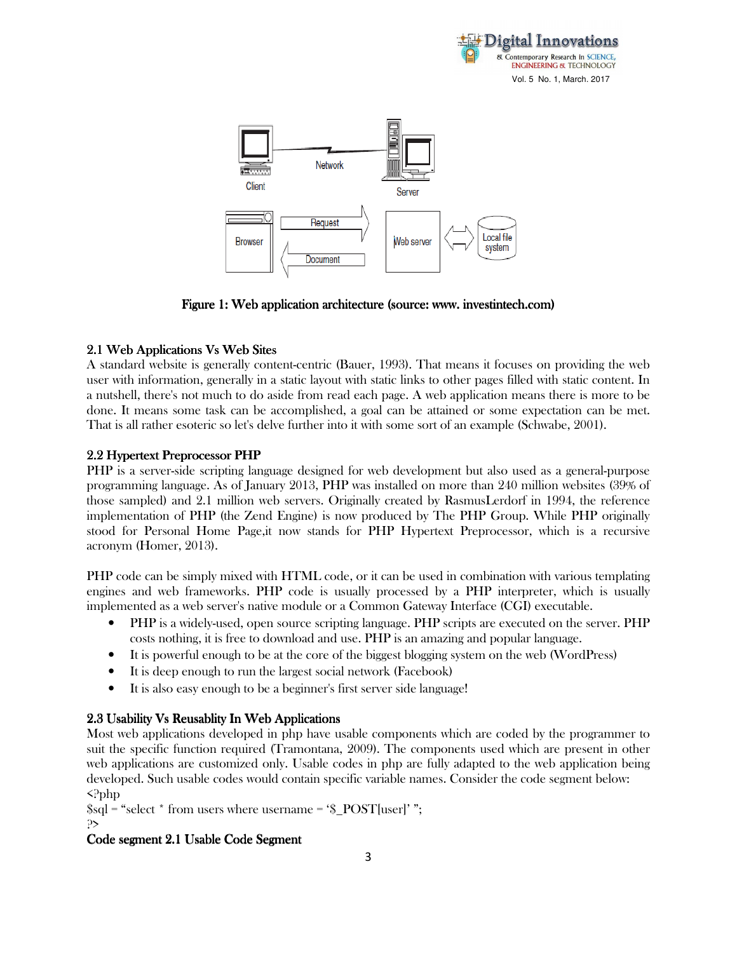igital Innovations & Contemporary Research in SCIENCE, **ENGINEERING & TECHNOLOGY** Vol. 5 No. 1, March. 2017



Figure 1: Web application architecture (source: www. investintech.com)

# 2.1 Web Applications Vs Web Sites

A standard website is generally content-centric (Bauer, 1993). That means it focuses on providing the web user with information, generally in a static layout with static links to other pages filled with static content. In a nutshell, there's not much to do aside from read each page. A web application means there is more to be done. It means some task can be accomplished, a goal can be attained or some expectation can be met. That is all rather esoteric so let's delve further into it with some sort of an example (Schwabe, 2001).

# 2.2 Hypertext Preprocessor 2.2 Hypertext Preprocessor PHP

PHP is a server-side scripting language designed for web development but also used as a general-purpose programming language. As of January 2013, PHP was installed on more than 240 million websites (39% of those sampled) and 2.1 million web servers. Originally created by RasmusLerdorf in 1994, the reference implementation of PHP (the Zend Engine) is now produced by The PHP Group. While PHP originally stood for Personal Home Page,it now stands for PHP Hypertext Preprocessor, which is a recursive acronym (Homer, 2013).

PHP code can be simply mixed with HTML code, or it can be used in combination with various templating engines and web frameworks. PHP code is usually processed by a PHP interpreter, which is usually implemented as a web server's native module or a Common Gateway Interface (CGI) executable.

- PHP is a widely-used, open source scripting language. PHP scripts are executed on the server. PHP costs nothing, it is free to download and use. PHP is an amazing and popular language.
- It is powerful enough to be at the core of the biggest blogging system on the web (WordPress)
- It is deep enough to run the largest social network (Facebook)
- It is also easy enough to be a beginner's first server side language!

# 2.3 Usability Vs Reusablity In Web Applications 2.3 Usability Applications

Most web applications developed in php have usable components which are coded by the programmer to suit the specific function required (Tramontana, 2009). The components used which are present in other web applications are customized only. Usable codes in php are fully adapted to the web application being developed. Such usable codes would contain specific variable names. Consider the code segment below: <?php

 $\gamma = \$ [sql = "select \* from users where username = ' $\gamma$  POST[user]' "; ?>

# Code segment 2.1 Usable Code Segment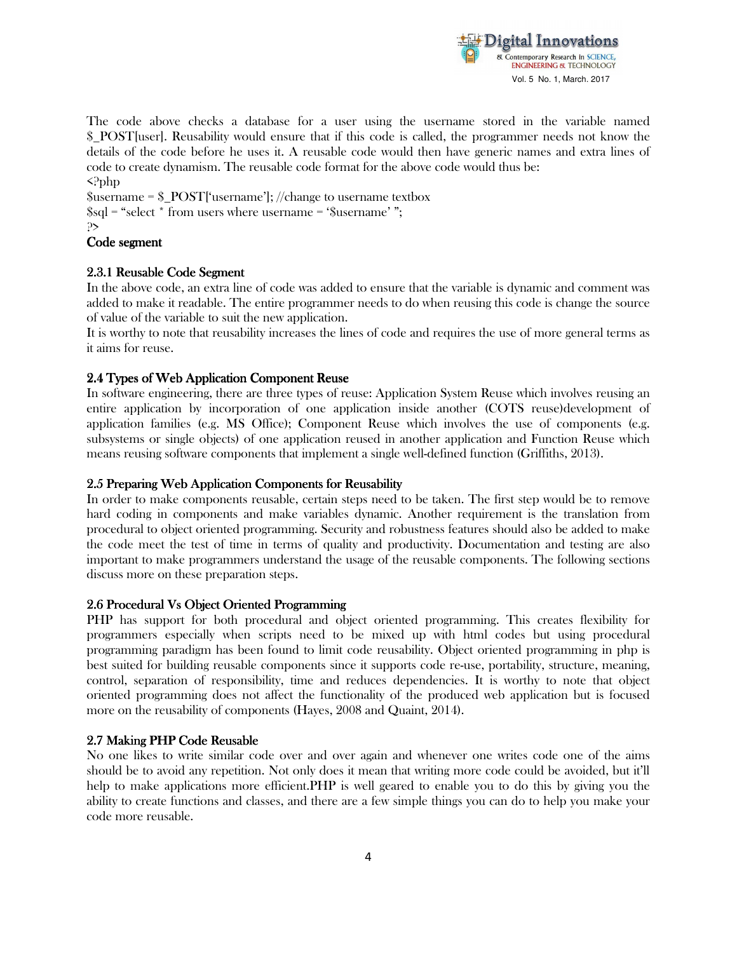

The code above checks a database for a user using the username stored in the variable named \$\_POST[user]. Reusability would ensure that if this code is called, the programmer needs not know the details of the code before he uses it. A reusable code would then have generic names and extra lines of code to create dynamism. The reusable code format for the above code would thus be: <?php

 $$username = $_POST['username']$ ; //change to username textbox  $\gamma = \gamma$  is sql = "select \* from users where username = ' $\gamma$ username' "; ?>

#### Code segment

#### 2.3.1 Reusable Code Segment

In the above code, an extra line of code was added to ensure that the variable is dynamic and comment was added to make it readable. The entire programmer needs to do when reusing this code is change the source of value of the variable to suit the new application.

It is worthy to note that reusability increases the lines of code and requires the use of more general terms as it aims for reuse.

#### 2.4 Types of Web Application Component Reuse

In software engineering, there are three types of reuse: Application System Reuse which involves reusing an entire application by incorporation of one application inside another (COTS reuse)development of application families (e.g. MS Office); Component Reuse which involves the use of components (e.g. subsystems or single objects) of one application reused in another application and Function Reuse which means reusing software components that implement a single well-defined function (Griffiths, 2013).

## 2.5 Preparing Web Application Components for Reusability

In order to make components reusable, certain steps need to be taken. The first step would be to remove hard coding in components and make variables dynamic. Another requirement is the translation from procedural to object oriented programming. Security and robustness features should also be added to make the code meet the test of time in terms of quality and productivity. Documentation and testing are also important to make programmers understand the usage of the reusable components. The following sections discuss more on these preparation steps.

#### 2.6 Procedural Vs Object Oriented Programming 2.6 Procedural Vs Object Oriented

PHP has support for both procedural and object oriented programming. This creates flexibility for programmers especially when scripts need to be mixed up with html codes but using procedural programming paradigm has been found to limit code reusability. Object oriented programming in php is best suited for building reusable components since it supports code re-use, portability, structure, meaning, control, separation of responsibility, time and reduces dependencies. It is worthy to note that object oriented programming does not affect the functionality of the produced web application but is focused more on the reusability of components (Hayes, 2008 and Quaint, 2014).

# 2.7 Making PHP Code Reusable

No one likes to write similar code over and over again and whenever one writes code one of the aims should be to avoid any repetition. Not only does it mean that writing more code could be avoided, but it'll help to make applications more efficient. PHP is well geared to enable you to do this by giving you the ability to create functions and classes, and there are a few simple things you can do to help you make your code more reusable.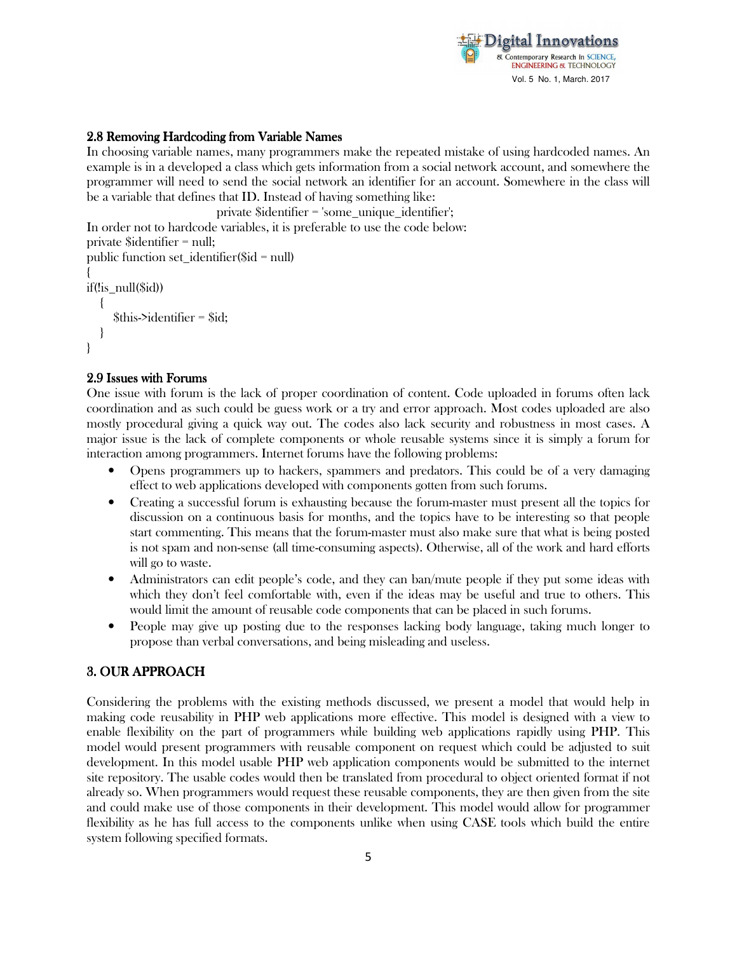

#### 2.8 Removing Hardcoding from Variable Names

In choosing variable names, many programmers make the repeated mistake of using hardcoded names. An example is in a developed a class which gets information from a social network account, and somewhere the programmer will need to send the social network an identifier for an account. Somewhere in the class will be a variable that defines that ID. Instead of having something like:

```
private $identifier = 'some_unique_identifier'; 
In order not to hardcode variables, it is preferable to use the code below: 
private $identifier = null; 
public function set_identifier($id = null) 
{ 
if(!is_null($id)) 
   { 
      $this->identifier = $id; 
   } 
}
```
#### 2.9 Issues with Forums

One issue with forum is the lack of proper coordination of content. Code uploaded in forums often lack coordination and as such could be guess work or a try and error approach. Most codes uploaded are also mostly procedural giving a quick way out. The codes also lack security and robustness in most cases. A major issue is the lack of complete components or whole reusable systems since it is simply a forum for interaction among programmers. Internet forums have the following problems:

- Opens programmers up to hackers, spammers and predators. This could be of a very damaging effect to web applications developed with components gotten from such forums.
- Creating a successful forum is exhausting because the forum-master must present all the topics for discussion on a continuous basis for months, and the topics have to be interesting so that people start commenting. This means that the forum-master must also make sure that what is being posted is not spam and non-sense (all time-consuming aspects). Otherwise, all of the work and hard efforts will go to waste.
- Administrators can edit people's code, and they can ban/mute people if they put some ideas with which they don't feel comfortable with, even if the ideas may be useful and true to others. This would limit the amount of reusable code components that can be placed in such forums.
- People may give up posting due to the responses lacking body language, taking much longer to propose than verbal conversations, and being misleading and useless.

#### 3. OUR APPROACH

Considering the problems with the existing methods discussed, we present a model that would help in making code reusability in PHP web applications more effective. This model is designed with a view to enable flexibility on the part of programmers while building web applications rapidly using PHP. This model would present programmers with reusable component on request which could be adjusted to suit development. In this model usable PHP web application components would be submitted to the internet site repository. The usable codes would then be translated from procedural to object oriented format if not already so. When programmers would request these reusable components, they are then given from the site and could make use of those components in their development. This model would allow for programmer flexibility as he has full access to the components unlike when using CASE tools which build the entire system following specified formats.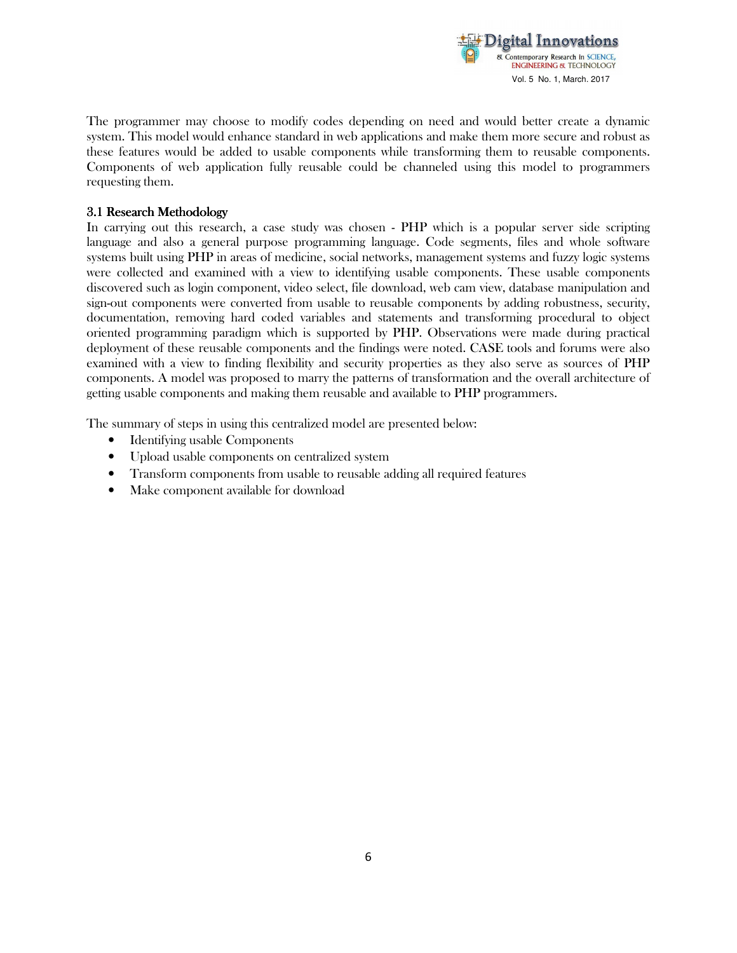

The programmer may choose to modify codes depending on need and would better create a dynamic system. This model would enhance standard in web applications and make them more secure and robust as these features would be added to usable components while transforming them to reusable components. Components of web application fully reusable could be channeled using this model to programmers requesting them.

## 3.1 Research Methodology 3.1 Research Methodology

In carrying out this research, a case study was chosen - PHP which is a popular server side scripting language and also a general purpose programming language. Code segments, files and whole software systems built using PHP in areas of medicine, social networks, management systems and fuzzy logic systems were collected and examined with a view to identifying usable components. These usable components discovered such as login component, video select, file download, web cam view, database manipulation and sign-out components were converted from usable to reusable components by adding robustness, security, documentation, removing hard coded variables and statements and transforming procedural to object oriented programming paradigm which is supported by PHP. Observations were made during practical deployment of these reusable components and the findings were noted. CASE tools and forums were also examined with a view to finding flexibility and security properties as they also serve as sources of PHP components. A model was proposed to marry the patterns of transformation and the overall architecture of getting usable components and making them reusable and available to PHP programmers.

The summary of steps in using this centralized model are presented below:

- Identifying usable Components
- Upload usable components on centralized system
- Transform components from usable to reusable adding all required features
- Make component available for download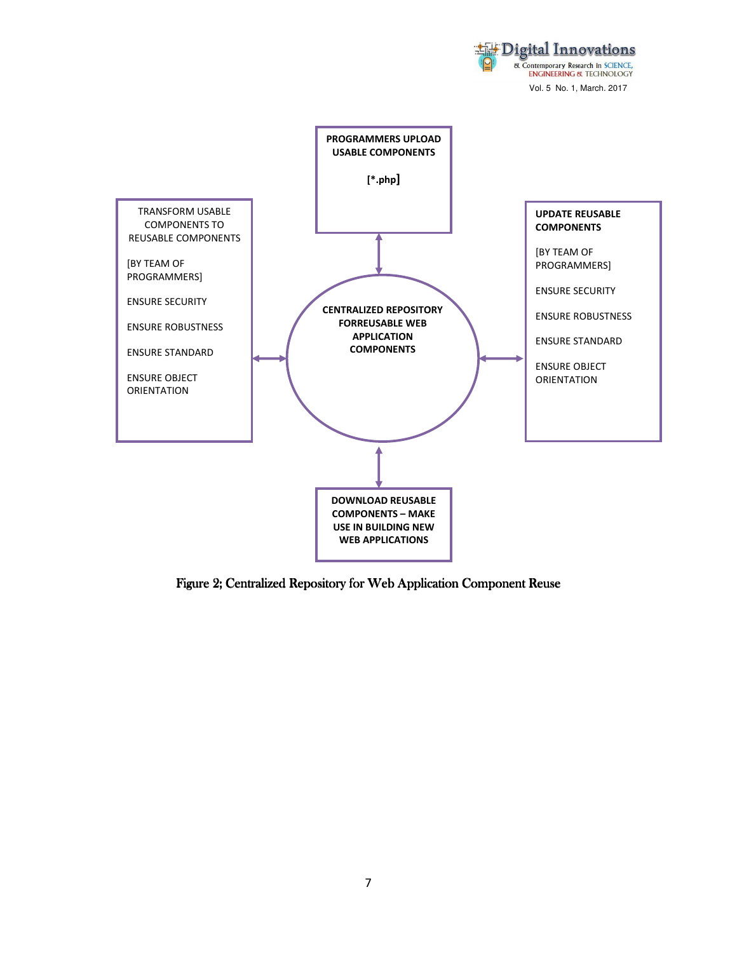



Figure 2; Centralized Repository for Web Application Component Reuse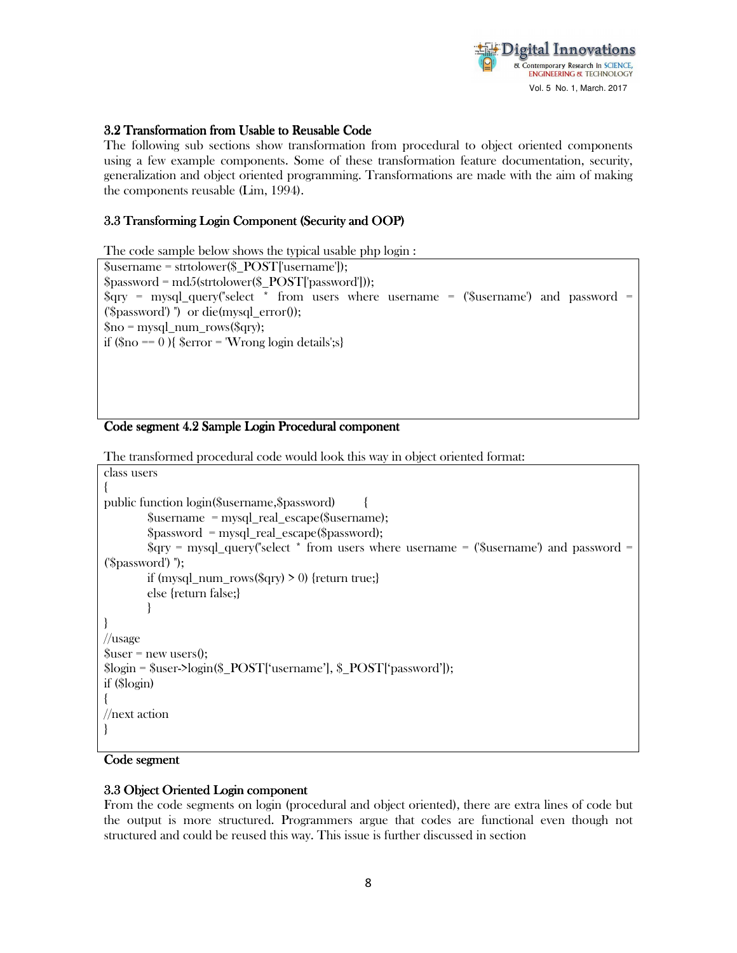

## 3.2 Transformation from Usable to Reusable Code

The following sub sections show transformation from procedural to object oriented components using a few example components. Some of these transformation feature documentation, security, generalization and object oriented programming. Transformations are made with the aim of making the components reusable (Lim, 1994).

## 3.3 Transforming Login Component (Security and OOP)

The code sample below shows the typical usable php login :

\$username = strtolower(\$\_POST['username']);  $spassword = md5(\text{strtolower}(\$~POST[password']));$ \$qry = mysql\_query("select \* from users where username = ('\$username') and password = ('\$password') ") or die(mysql\_error());  $\text{\$no = mysql num rows}(\text{\$qry});$ if  $(\text{no} == 0)$  {  $\text{server} = \text{Wrong login details};s$ }

#### Code segment 4.2 Sample Login Procedural component

The transformed procedural code would look this way in object oriented format:

```
{ 
public function login($username,$password) { 
        $username = mysql_real_escape($username);
        $password = mysal real escape($password); $qry = mysql_query("select * from users where username = ('$username') and password = 
('$password') "); 
        if (mysql_num_rows(\gamma > 0) {return true;}
         else {return false;} 
         } 
} 
//usage 
$user = new users();$login = $user->login($_POST['username'], $_POST['password']);
if ($login) 
{ 
//next action 
}
```
Code segment

class users

#### 3.3 Object Oriented Login component

From the code segments on login (procedural and object oriented), there are extra lines of code but the output is more structured. Programmers argue that codes are functional even though not structured and could be reused this way. This issue is further discussed in section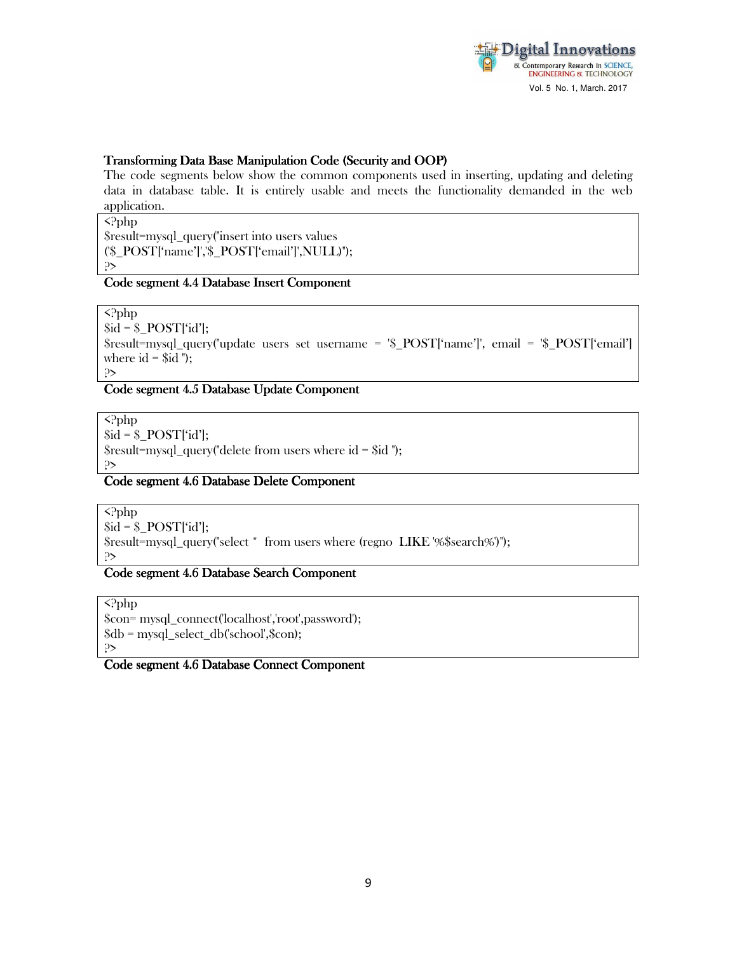

# Transforming Data Base Manipulation Code (Security and OOP)

The code segments below show the common components used in inserting, updating and deleting data in database table. It is entirely usable and meets the functionality demanded in the web application.

 $\langle$ ?php \$result=mysql\_query("insert into users values ('\$\_POST['name']','\$\_POST['email']',NULL)"); ?>

#### Code segment 4.4 Database Insert Component

 $\langle \text{?php} \rangle$  $$id = $POST['id']$ ; \$result=mysql\_query("update users set username = '\$\_POST['name']', email = '\$\_POST['email'] where  $id = \frac{1}{3}$ ; ?>

# Code segment 4.5 Database Update Component

 $\langle$ ?php  $$id = $POST['id'];$ \$result=mysql\_query("delete from users where id = \$id "); ?>

#### Code segment 4.6 Database Delete Component

<?php  $$id = $POST['id']$ ; \$result=mysql\_query("select \* from users where (regno LIKE '%\$search%')"); ?>

# Code segment 4.6 Database Search Component

<?php \$con= mysql\_connect('localhost','root',password'); \$db = mysql\_select\_db('school',\$con); ?>

#### Code segment 4.6 Database Connect Component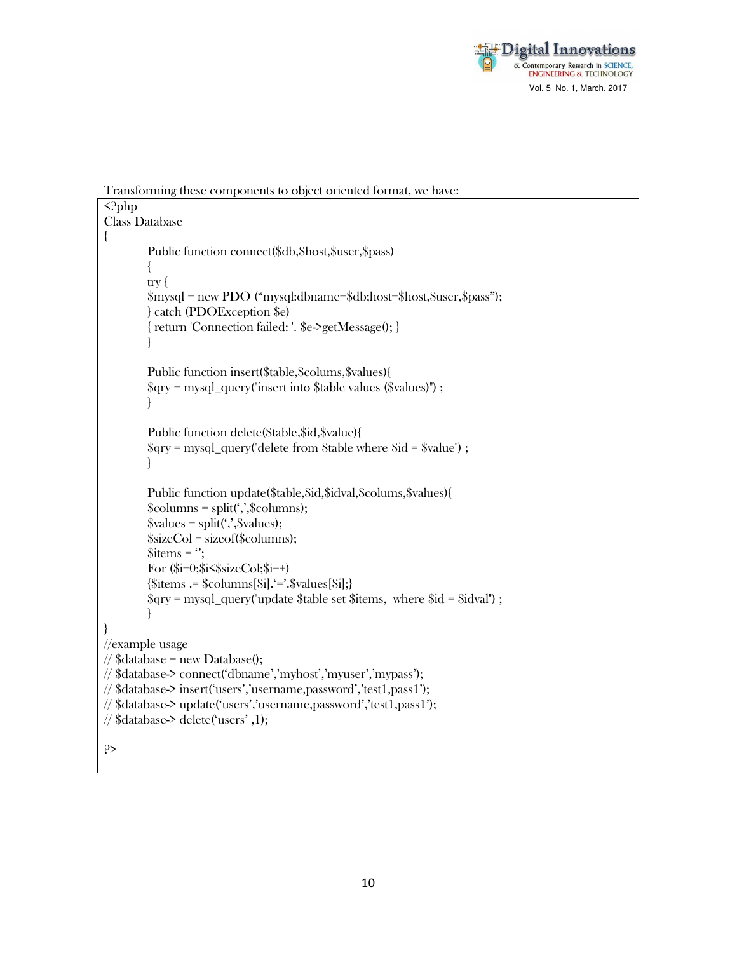

Transforming these components to object oriented format, we have:

| $\langle$ ?php                                                                                                                                                                                                                                                                                                                                                                                                  |
|-----------------------------------------------------------------------------------------------------------------------------------------------------------------------------------------------------------------------------------------------------------------------------------------------------------------------------------------------------------------------------------------------------------------|
| <b>Class Database</b>                                                                                                                                                                                                                                                                                                                                                                                           |
| Public function connect(\$db,\$host,\$user,\$pass)<br>try $\{$<br>\$mysql = new PDO ("mysql:dbname=\$db;host=\$host,\$user,\$pass");<br>} catch (PDOException \$e)<br>{ return 'Connection failed: '. \$e->getMessage(); }                                                                                                                                                                                      |
| Public function insert(\$table,\$colums,\$values){<br>\$qry = mysql_query("insert into \$table values (\$values)");                                                                                                                                                                                                                                                                                             |
| Public function delete(\$table,\$id,\$value){<br>\$qry = mysql_query("delete from \$table where \$id = \$value");                                                                                                                                                                                                                                                                                               |
| Public function update(\$table,\$id,\$idval,\$colums,\$values){<br>$\&$ columns = split(',', $\&$ columns);<br>$\text{\$values} = \text{split}(\cdot, \cdot, \text{\$values});$<br>$$sizeCol = $izeof($columns);$<br>$$items =$ ";<br>For (\$i=0;\$i<\$sizeCol;\$i++)<br>${\text{$iitems = $columns[$i]}.}' = \text{$values[$i]};}$<br>\$qry = mysql_query("update \$table set \$items, where \$id = \$idval"); |
| $\sqrt{\rm}$ example usage                                                                                                                                                                                                                                                                                                                                                                                      |
| // $\delta$ database = new Database();<br>// \$database-> connect('dbname','myhost','myuser','mypass');<br>// \$database-> insert('users','username,password','test1,pass1');<br>// \$database-> update('users','username,password','test1,pass1');<br>// \$database-> delete('users',1);                                                                                                                       |
| $\geq$                                                                                                                                                                                                                                                                                                                                                                                                          |

L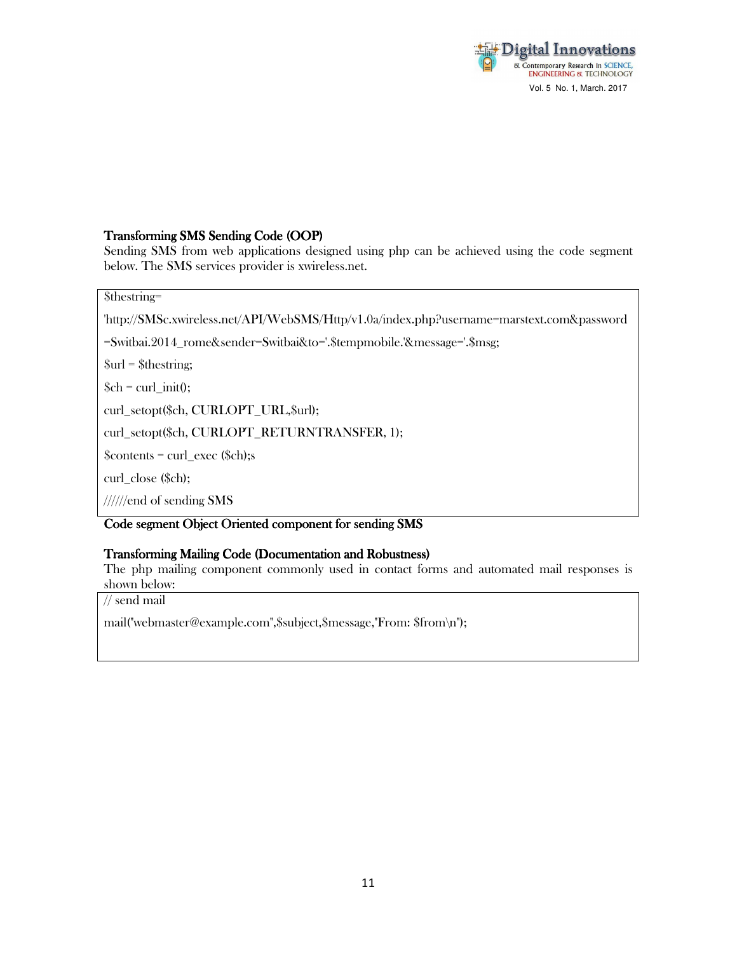

# Transforming SMS Sending Code (OOP)

Sending SMS from web applications designed using php can be achieved using the code segment below. The SMS services provider is xwireless.net.

## \$thestring=

'http://SMSc.xwireless.net/API/WebSMS/Http/v1.0a/index.php?username=marstext.com&password

=Switbai.2014\_rome&sender=Switbai&to='.\$tempmobile.'&message='.\$msg;

 $$url = $the string;$ 

 $\delta$ ch = curl init();

curl\_setopt(\$ch, CURLOPT\_URL,\$url);

curl\_setopt(\$ch, CURLOPT\_RETURNTRANSFER, 1);

 $\text{Contents} = \text{curl\_exec} (\text{$\text{Sch}$});$ 

curl\_close (\$ch);

//////end of sending SMS

# Code segment Object Oriented component for sending SMS

#### Transforming Mailing Code (Documentation and Robustness)

The php mailing component commonly used in contact forms and automated mail responses is shown below:

// send mail

mail("webmaster@example.com",\$subject,\$message,"From: \$from\n");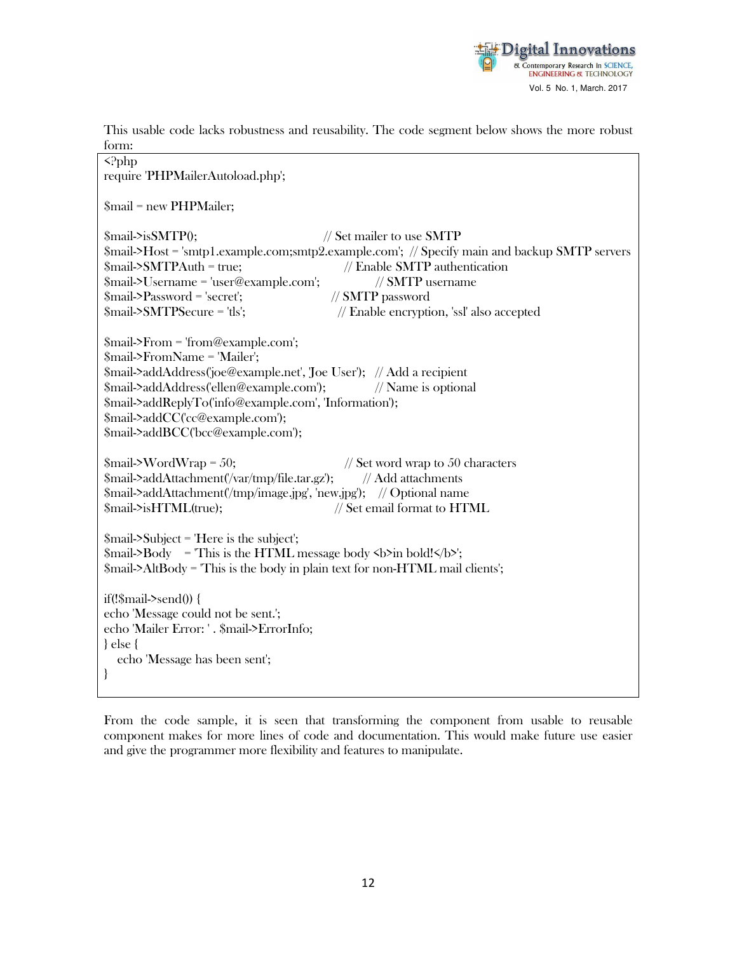

This usable code lacks robustness and reusability. The code segment below shows the more robust form:

 $\langle$ ?php require 'PHPMailerAutoload.php'; \$mail = new PHPMailer; \$mail->isSMTP(); // Set mailer to use SMTP \$mail->Host = 'smtp1.example.com;smtp2.example.com'; // Specify main and backup SMTP servers \$mail->SMTPAuth = true; // Enable SMTP authentication  $$mail-ylsername = 'user@example.com';$  // SMTP username \$mail->Password = 'secret'; // SMTP password \$mail->SMTPSecure = 'tls'; // Enable encryption, 'ssl' also accepted \$mail->From = 'from@example.com'; \$mail->FromName = 'Mailer'; \$mail->addAddress('joe@example.net', 'Joe User'); // Add a recipient \$mail->addAddress('ellen@example.com'); // Name is optional \$mail->addReplyTo('info@example.com', 'Information'); \$mail->addCC('cc@example.com'); \$mail->addBCC('bcc@example.com');  $$mail>WordWrap = 50;$  // Set word wrap to 50 characters \$mail->addAttachment('/var/tmp/file.tar.gz'); // Add attachments \$mail->addAttachment('/tmp/image.jpg', 'new.jpg'); // Optional name \$mail->isHTML(true); // Set email format to HTML \$mail->Subject = 'Here is the subject';  $\delta$ mail->Body = This is the HTML message body  $\delta$ >in bold! $\delta$ '; \$mail->AltBody = 'This is the body in plain text for non-HTML mail clients'; if(!\$mail->send()) { echo 'Message could not be sent.'; echo 'Mailer Error: ' . \$mail->ErrorInfo; } else { echo 'Message has been sent'; }

From the code sample, it is seen that transforming the component from usable to reusable component makes for more lines of code and documentation. This would make future use easier and give the programmer more flexibility and features to manipulate.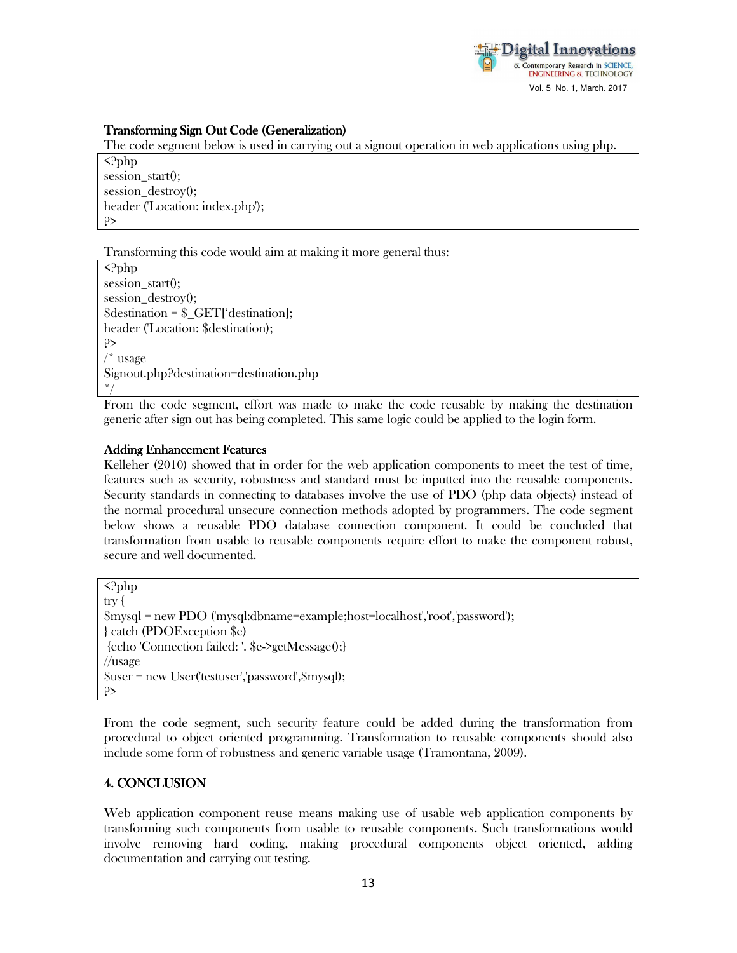

# Transforming Sign Out Code (Generalization) Transforming Sign Code (Generalization)

The code segment below is used in carrying out a signout operation in web applications using php.

 $\langle$ ?php session\_start(); session\_destroy(); header ('Location: index.php'); ?>

Transforming this code would aim at making it more general thus:

 $\langle$ ?php session\_start(); session\_destroy(); \$destination = \$\_GET['destination]; header ('Location: \$destination); ?> /\* usage Signout.php?destination=destination.php \*/

From the code segment, effort was made to make the code reusable by making the destination generic after sign out has being completed. This same logic could be applied to the login form.

#### Adding Enhancement Features

Kelleher (2010) showed that in order for the web application components to meet the test of time, features such as security, robustness and standard must be inputted into the reusable components. Security standards in connecting to databases involve the use of PDO (php data objects) instead of the normal procedural unsecure connection methods adopted by programmers. The code segment below shows a reusable PDO database connection component. It could be concluded that transformation from usable to reusable components require effort to make the component robust, secure and well documented.

<?php try { \$mysql = new PDO ('mysql:dbname=example;host=localhost','root','password'); } catch (PDOException \$e) {echo 'Connection failed: '. \$e->getMessage();} //usage \$user = new User('testuser','password',\$mysql); ?>

From the code segment, such security feature could be added during the transformation from procedural to object oriented programming. Transformation to reusable components should also include some form of robustness and generic variable usage (Tramontana, 2009).

# 4. CONCLUSION

Web application component reuse means making use of usable web application components by transforming such components from usable to reusable components. Such transformations would involve removing hard coding, making procedural components object oriented, adding documentation and carrying out testing.